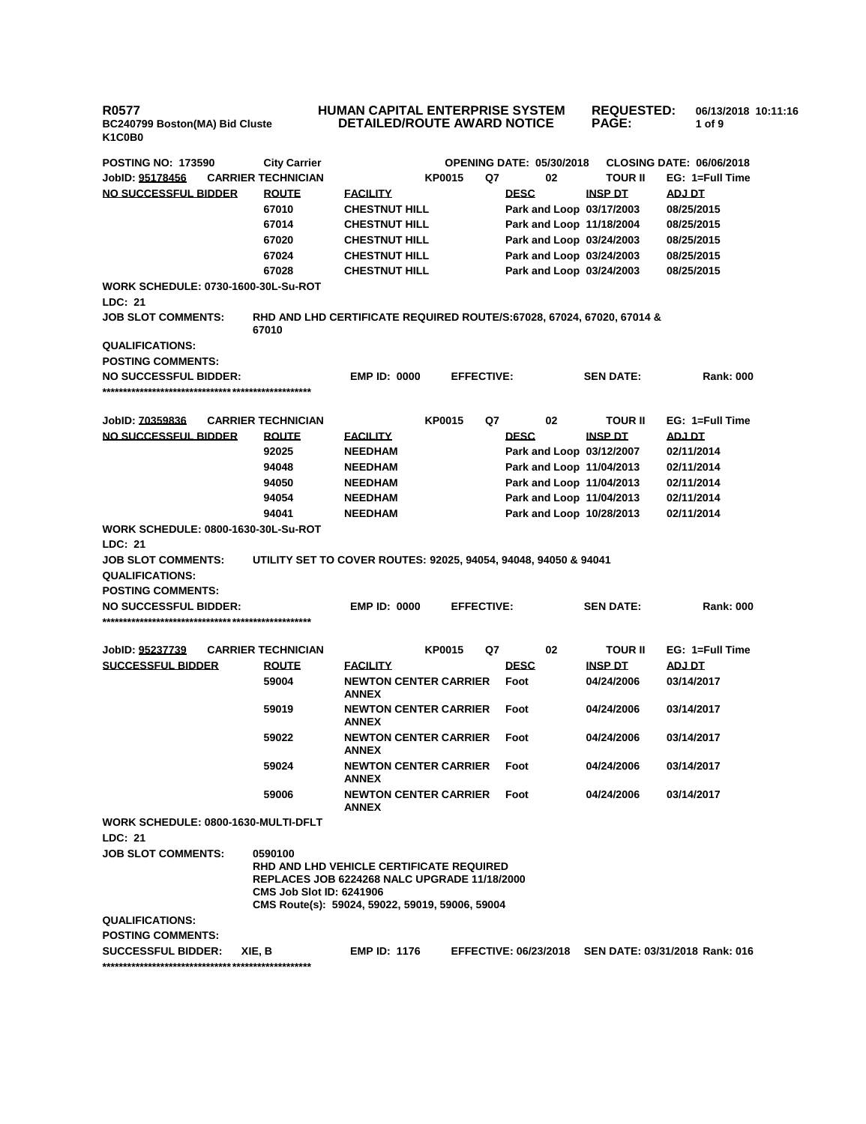## **HUMAN CAPITAL ENTERPRISE SYSTEM DETAILED/ROUTE AWARD NOTICE REQUESTED: PAGE: 06/13/2018 10:11:16 1 of 9**

| <b>POSTING NO: 173590</b>                             | <b>City Carrier</b>                                                                                                                                                                              |                                                   |               |                   | <b>OPENING DATE: 05/30/2018</b> |                  | <b>CLOSING DATE: 06/06/2018</b>                      |
|-------------------------------------------------------|--------------------------------------------------------------------------------------------------------------------------------------------------------------------------------------------------|---------------------------------------------------|---------------|-------------------|---------------------------------|------------------|------------------------------------------------------|
| JobID: 95178456                                       | <b>CARRIER TECHNICIAN</b>                                                                                                                                                                        |                                                   | <b>KP0015</b> | Q7                | 02                              | <b>TOUR II</b>   | EG: 1=Full Time                                      |
| NO SUCCESSFUL BIDDER                                  | <b>ROUTE</b>                                                                                                                                                                                     | <b>FACILITY</b>                                   |               |                   | <b>DESC</b>                     | <b>INSP DT</b>   | <b>ADJ DT</b>                                        |
|                                                       | 67010                                                                                                                                                                                            | <b>CHESTNUT HILL</b>                              |               |                   | Park and Loop 03/17/2003        |                  | 08/25/2015                                           |
|                                                       | 67014                                                                                                                                                                                            | <b>CHESTNUT HILL</b>                              |               |                   | Park and Loop 11/18/2004        |                  | 08/25/2015                                           |
|                                                       | 67020                                                                                                                                                                                            | <b>CHESTNUT HILL</b>                              |               |                   | Park and Loop 03/24/2003        |                  | 08/25/2015                                           |
|                                                       | 67024                                                                                                                                                                                            | <b>CHESTNUT HILL</b>                              |               |                   | Park and Loop 03/24/2003        |                  | 08/25/2015                                           |
|                                                       | 67028                                                                                                                                                                                            | <b>CHESTNUT HILL</b>                              |               |                   | Park and Loop 03/24/2003        |                  | 08/25/2015                                           |
| <b>WORK SCHEDULE: 0730-1600-30L-Su-ROT</b><br>LDC: 21 |                                                                                                                                                                                                  |                                                   |               |                   |                                 |                  |                                                      |
| <b>JOB SLOT COMMENTS:</b>                             | RHD AND LHD CERTIFICATE REQUIRED ROUTE/S:67028, 67024, 67020, 67014 &<br>67010                                                                                                                   |                                                   |               |                   |                                 |                  |                                                      |
| <b>QUALIFICATIONS:</b>                                |                                                                                                                                                                                                  |                                                   |               |                   |                                 |                  |                                                      |
| <b>POSTING COMMENTS:</b>                              |                                                                                                                                                                                                  |                                                   |               |                   |                                 |                  |                                                      |
| <b>NO SUCCESSFUL BIDDER:</b>                          |                                                                                                                                                                                                  | <b>EMP ID: 0000</b>                               |               | <b>EFFECTIVE:</b> |                                 | <b>SEN DATE:</b> | <b>Rank: 000</b>                                     |
|                                                       |                                                                                                                                                                                                  |                                                   |               |                   |                                 |                  |                                                      |
| JobID: 70359836                                       | <b>CARRIER TECHNICIAN</b>                                                                                                                                                                        |                                                   | <b>KP0015</b> | Q7                | 02                              | <b>TOUR II</b>   | EG: 1=Full Time                                      |
| NO SUCCESSFUL BIDDER                                  | <b>ROUTE</b>                                                                                                                                                                                     | <b>FACILITY</b>                                   |               |                   | <b>DESC</b>                     | <b>INSP DT</b>   | ADJ DT                                               |
|                                                       | 92025                                                                                                                                                                                            | <b>NEEDHAM</b>                                    |               |                   | Park and Loop 03/12/2007        |                  | 02/11/2014                                           |
|                                                       | 94048                                                                                                                                                                                            | <b>NEEDHAM</b>                                    |               |                   | Park and Loop 11/04/2013        |                  | 02/11/2014                                           |
|                                                       | 94050                                                                                                                                                                                            | <b>NEEDHAM</b>                                    |               |                   | Park and Loop 11/04/2013        |                  | 02/11/2014                                           |
|                                                       | 94054                                                                                                                                                                                            | <b>NEEDHAM</b>                                    |               |                   | Park and Loop 11/04/2013        |                  | 02/11/2014                                           |
|                                                       | 94041                                                                                                                                                                                            | <b>NEEDHAM</b>                                    |               |                   | Park and Loop 10/28/2013        |                  | 02/11/2014                                           |
| <b>WORK SCHEDULE: 0800-1630-30L-Su-ROT</b>            |                                                                                                                                                                                                  |                                                   |               |                   |                                 |                  |                                                      |
| LDC: 21                                               |                                                                                                                                                                                                  |                                                   |               |                   |                                 |                  |                                                      |
| <b>JOB SLOT COMMENTS:</b>                             | UTILITY SET TO COVER ROUTES: 92025, 94054, 94048, 94050 & 94041                                                                                                                                  |                                                   |               |                   |                                 |                  |                                                      |
| <b>QUALIFICATIONS:</b>                                |                                                                                                                                                                                                  |                                                   |               |                   |                                 |                  |                                                      |
| <b>POSTING COMMENTS:</b>                              |                                                                                                                                                                                                  |                                                   |               |                   |                                 |                  |                                                      |
| <b>NO SUCCESSFUL BIDDER:</b>                          |                                                                                                                                                                                                  | <b>EMP ID: 0000</b>                               |               | <b>EFFECTIVE:</b> |                                 | <b>SEN DATE:</b> | <b>Rank: 000</b>                                     |
|                                                       |                                                                                                                                                                                                  |                                                   |               |                   |                                 |                  |                                                      |
| JobID: 95237739                                       | <b>CARRIER TECHNICIAN</b>                                                                                                                                                                        |                                                   | <b>KP0015</b> | Q7                | 02                              | TOUR II          | EG: 1=Full Time                                      |
| <b>SUCCESSFUL BIDDER</b>                              | <b>ROUTE</b>                                                                                                                                                                                     | <b>FACILITY</b>                                   |               |                   | <b>DESC</b>                     | <b>INSP DT</b>   | ADJ DT                                               |
|                                                       | 59004                                                                                                                                                                                            | <b>NEWTON CENTER CARRIER</b><br><b>ANNEX</b>      |               |                   | Foot                            | 04/24/2006       | 03/14/2017                                           |
|                                                       | 59019                                                                                                                                                                                            | <b>NEWTON CENTER CARRIER</b><br><b>ANNEX</b>      |               |                   | Foot                            | 04/24/2006       | 03/14/2017                                           |
|                                                       | 59022                                                                                                                                                                                            | <b>NEWTON CENTER CARRIER</b><br><b>ANNEX</b>      |               |                   | Foot                            | 04/24/2006       | 03/14/2017                                           |
|                                                       | 59024                                                                                                                                                                                            | <b>NEWTON CENTER CARRIER</b><br><b>ANNEX</b>      |               |                   | Foot                            | 04/24/2006       | 03/14/2017                                           |
|                                                       | 59006                                                                                                                                                                                            | <b>NEWTON CENTER CARRIER Foot</b><br><b>ANNEX</b> |               |                   |                                 | 04/24/2006       | 03/14/2017                                           |
| WORK SCHEDULE: 0800-1630-MULTI-DFLT<br>LDC: 21        |                                                                                                                                                                                                  |                                                   |               |                   |                                 |                  |                                                      |
| <b>JOB SLOT COMMENTS:</b>                             | 0590100<br>RHD AND LHD VEHICLE CERTIFICATE REQUIRED<br><b>REPLACES JOB 6224268 NALC UPGRADE 11/18/2000</b><br><b>CMS Job Slot ID: 6241906</b><br>CMS Route(s): 59024, 59022, 59019, 59006, 59004 |                                                   |               |                   |                                 |                  |                                                      |
| <b>QUALIFICATIONS:</b>                                |                                                                                                                                                                                                  |                                                   |               |                   |                                 |                  |                                                      |
| <b>POSTING COMMENTS:</b>                              |                                                                                                                                                                                                  |                                                   |               |                   |                                 |                  |                                                      |
| <b>SUCCESSFUL BIDDER:</b>                             | XIE, B                                                                                                                                                                                           | <b>EMP ID: 1176</b>                               |               |                   |                                 |                  | EFFECTIVE: 06/23/2018 SEN DATE: 03/31/2018 Rank: 016 |
|                                                       |                                                                                                                                                                                                  |                                                   |               |                   |                                 |                  |                                                      |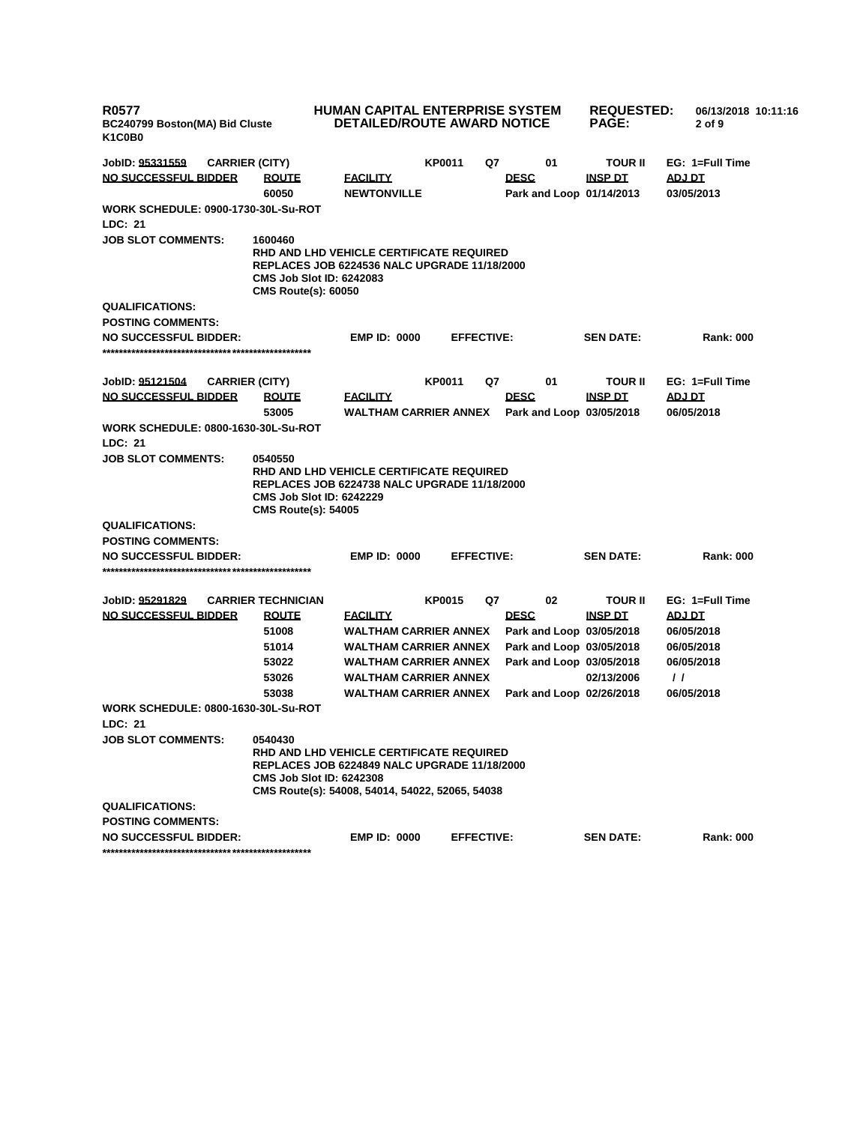| <b>R0577</b><br>BC240799 Boston(MA) Bid Cluste<br>K <sub>1</sub> C <sub>0</sub> B <sub>0</sub> |                                                                                                                                                                                                         | <b>HUMAN CAPITAL ENTERPRISE SYSTEM</b><br>DETAILED/ROUTE AWARD NOTICE |               |                   |                                         | <b>REQUESTED:</b><br><b>PAGE:</b> | 06/13/2018 10:11:16<br>$2$ of $9$ |
|------------------------------------------------------------------------------------------------|---------------------------------------------------------------------------------------------------------------------------------------------------------------------------------------------------------|-----------------------------------------------------------------------|---------------|-------------------|-----------------------------------------|-----------------------------------|-----------------------------------|
| <b>CARRIER (CITY)</b><br>JobID: <u>95331559</u>                                                |                                                                                                                                                                                                         |                                                                       | KP0011        | Q7                | 01                                      | TOUR II                           | EG: 1=Full Time                   |
| <b>NO SUCCESSFUL BIDDER</b>                                                                    | <b>ROUTE</b><br>60050                                                                                                                                                                                   | <b>FACILITY</b><br><b>NEWTONVILLE</b>                                 |               |                   | <b>DESC</b><br>Park and Loop 01/14/2013 | <b>INSP DT</b>                    | ADJ DT<br>03/05/2013              |
| <b>WORK SCHEDULE: 0900-1730-30L-Su-ROT</b>                                                     |                                                                                                                                                                                                         |                                                                       |               |                   |                                         |                                   |                                   |
| <b>LDC: 21</b>                                                                                 |                                                                                                                                                                                                         |                                                                       |               |                   |                                         |                                   |                                   |
| <b>JOB SLOT COMMENTS:</b>                                                                      | 1600460<br><b>RHD AND LHD VEHICLE CERTIFICATE REQUIRED</b><br><b>REPLACES JOB 6224536 NALC UPGRADE 11/18/2000</b><br><b>CMS Job Slot ID: 6242083</b><br><b>CMS Route(s): 60050</b>                      |                                                                       |               |                   |                                         |                                   |                                   |
| <b>QUALIFICATIONS:</b>                                                                         |                                                                                                                                                                                                         |                                                                       |               |                   |                                         |                                   |                                   |
| <b>POSTING COMMENTS:</b>                                                                       |                                                                                                                                                                                                         |                                                                       |               |                   |                                         |                                   |                                   |
| <b>NO SUCCESSFUL BIDDER:</b>                                                                   |                                                                                                                                                                                                         | <b>EMP ID: 0000</b>                                                   |               | <b>EFFECTIVE:</b> |                                         | <b>SEN DATE:</b>                  | <b>Rank: 000</b>                  |
|                                                                                                |                                                                                                                                                                                                         |                                                                       |               |                   |                                         |                                   |                                   |
| JobID: 95121504<br><b>CARRIER (CITY)</b>                                                       |                                                                                                                                                                                                         |                                                                       | <b>KP0011</b> | Q7                | 01                                      | <b>TOUR II</b>                    | EG: 1=Full Time                   |
| <u>NO SUCCESSFUL BIDDER</u>                                                                    | <b>ROUTE</b>                                                                                                                                                                                            | <u>FACILITY</u>                                                       |               |                   | <b>DESC</b>                             | <b>INSP DT</b>                    | <b>ADJ DT</b>                     |
|                                                                                                | 53005                                                                                                                                                                                                   | WALTHAM CARRIER ANNEX                                                 |               |                   | Park and Loop 03/05/2018                |                                   | 06/05/2018                        |
| <b>WORK SCHEDULE: 0800-1630-30L-Su-ROT</b>                                                     |                                                                                                                                                                                                         |                                                                       |               |                   |                                         |                                   |                                   |
| LDC: 21                                                                                        |                                                                                                                                                                                                         |                                                                       |               |                   |                                         |                                   |                                   |
| <b>JOB SLOT COMMENTS:</b>                                                                      | 0540550<br><b>RHD AND LHD VEHICLE CERTIFICATE REQUIRED</b><br><b>REPLACES JOB 6224738 NALC UPGRADE 11/18/2000</b><br><b>CMS Job Slot ID: 6242229</b><br><b>CMS Route(s): 54005</b>                      |                                                                       |               |                   |                                         |                                   |                                   |
| <b>QUALIFICATIONS:</b>                                                                         |                                                                                                                                                                                                         |                                                                       |               |                   |                                         |                                   |                                   |
| <b>POSTING COMMENTS:</b>                                                                       |                                                                                                                                                                                                         |                                                                       |               |                   |                                         |                                   |                                   |
| <b>NO SUCCESSFUL BIDDER:</b>                                                                   |                                                                                                                                                                                                         | <b>EMP ID: 0000</b>                                                   |               | <b>EFFECTIVE:</b> |                                         | <b>SEN DATE:</b>                  | <b>Rank: 000</b>                  |
|                                                                                                |                                                                                                                                                                                                         |                                                                       |               |                   |                                         |                                   |                                   |
|                                                                                                |                                                                                                                                                                                                         |                                                                       | <b>KP0015</b> | Q7                | 02                                      | TOUR II                           | EG: 1=Full Time                   |
| JobID: 95291829<br><b>NO SUCCESSFUL BIDDER</b>                                                 | <b>CARRIER TECHNICIAN</b><br><b>ROUTE</b>                                                                                                                                                               | <u>FACILITY</u>                                                       |               |                   | <b>DESC</b>                             | <b>INSP DT</b>                    | <b>ADJ DT</b>                     |
|                                                                                                | 51008                                                                                                                                                                                                   | WALTHAM CARRIER ANNEX                                                 |               |                   | Park and Loop 03/05/2018                |                                   | 06/05/2018                        |
|                                                                                                | 51014                                                                                                                                                                                                   | <b>WALTHAM CARRIER ANNEX</b>                                          |               |                   | Park and Loop 03/05/2018                |                                   | 06/05/2018                        |
|                                                                                                | 53022                                                                                                                                                                                                   | <b>WALTHAM CARRIER ANNEX</b>                                          |               |                   | Park and Loop 03/05/2018                |                                   | 06/05/2018                        |
|                                                                                                | 53026                                                                                                                                                                                                   | <b>WALTHAM CARRIER ANNEX</b>                                          |               |                   |                                         | 02/13/2006                        | $\prime\prime$                    |
|                                                                                                | 53038                                                                                                                                                                                                   | <b>WALTHAM CARRIER ANNEX</b>                                          |               |                   | Park and Loop 02/26/2018                |                                   | 06/05/2018                        |
| WORK SCHEDULE: 0800-1630-30L-Su-ROT<br>LDC: 21                                                 |                                                                                                                                                                                                         |                                                                       |               |                   |                                         |                                   |                                   |
| <b>JOB SLOT COMMENTS:</b>                                                                      | 0540430<br><b>RHD AND LHD VEHICLE CERTIFICATE REQUIRED</b><br><b>REPLACES JOB 6224849 NALC UPGRADE 11/18/2000</b><br><b>CMS Job Slot ID: 6242308</b><br>CMS Route(s): 54008, 54014, 54022, 52065, 54038 |                                                                       |               |                   |                                         |                                   |                                   |
| <b>QUALIFICATIONS:</b>                                                                         |                                                                                                                                                                                                         |                                                                       |               |                   |                                         |                                   |                                   |
| <b>POSTING COMMENTS:</b>                                                                       |                                                                                                                                                                                                         |                                                                       |               |                   |                                         |                                   |                                   |
| <b>NO SUCCESSFUL BIDDER:</b>                                                                   |                                                                                                                                                                                                         | <b>EMP ID: 0000</b>                                                   |               | <b>EFFECTIVE:</b> |                                         | <b>SEN DATE:</b>                  | <b>Rank: 000</b>                  |
|                                                                                                |                                                                                                                                                                                                         |                                                                       |               |                   |                                         |                                   |                                   |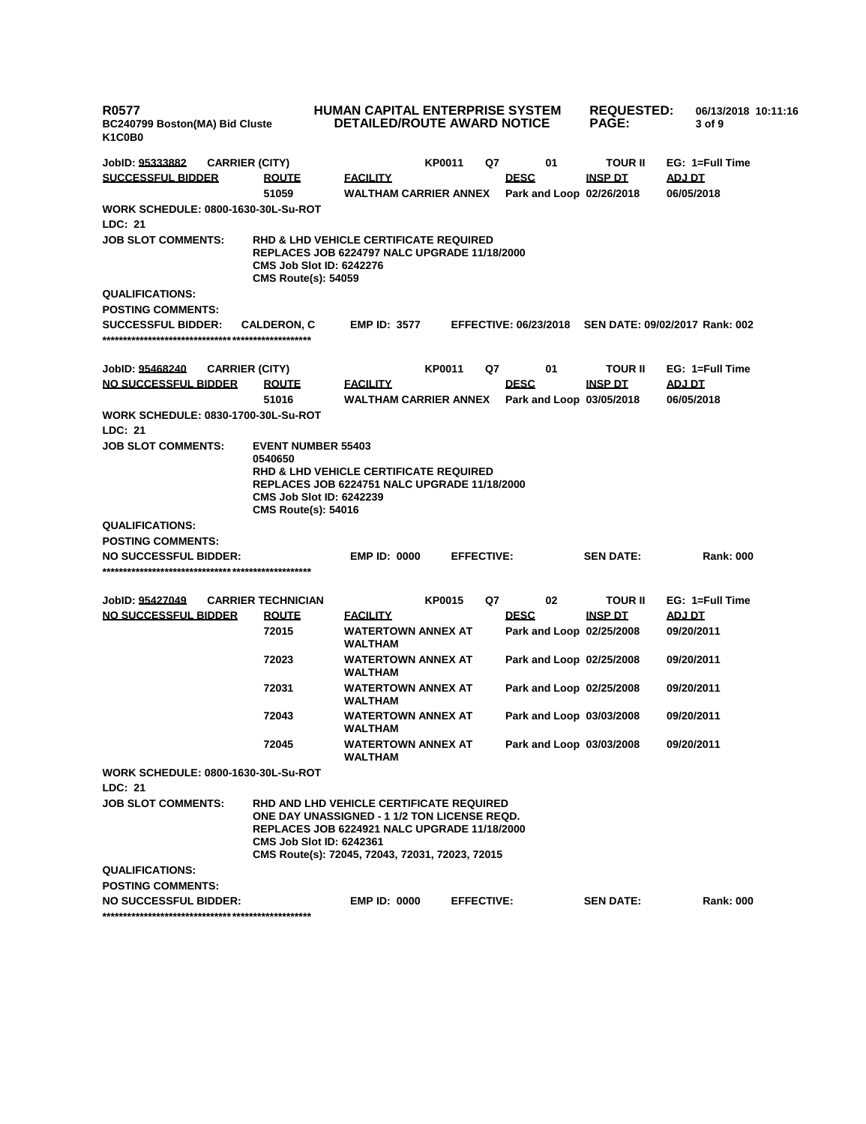| <b>R0577</b><br>BC240799 Boston(MA) Bid Cluste<br>K <sub>1</sub> C <sub>0</sub> B <sub>0</sub> |                                                                                                                                                                                                                                       | <b>HUMAN CAPITAL ENTERPRISE SYSTEM</b><br><b>DETAILED/ROUTE AWARD NOTICE</b> |                   |    |                                         | <b>REQUESTED:</b><br><b>PAGE:</b> | 06/13/2018 10:11:16<br>3 of 9  |
|------------------------------------------------------------------------------------------------|---------------------------------------------------------------------------------------------------------------------------------------------------------------------------------------------------------------------------------------|------------------------------------------------------------------------------|-------------------|----|-----------------------------------------|-----------------------------------|--------------------------------|
| JobID: 95333882                                                                                | <b>CARRIER (CITY)</b>                                                                                                                                                                                                                 |                                                                              | <b>KP0011</b>     | Q7 | 01                                      | <b>TOUR II</b>                    | EG: 1=Full Time                |
| <b>SUCCESSFUL BIDDER</b>                                                                       | <b>ROUTE</b>                                                                                                                                                                                                                          | <b>FACILITY</b>                                                              |                   |    | <b>DESC</b>                             | INSP DT                           | ADJ DT                         |
|                                                                                                | 51059                                                                                                                                                                                                                                 | <b>WALTHAM CARRIER ANNEX</b>                                                 |                   |    | Park and Loop 02/26/2018                |                                   | 06/05/2018                     |
| <b>WORK SCHEDULE: 0800-1630-30L-Su-ROT</b><br><b>LDC: 21</b>                                   |                                                                                                                                                                                                                                       |                                                                              |                   |    |                                         |                                   |                                |
| <b>JOB SLOT COMMENTS:</b>                                                                      | <b>RHD &amp; LHD VEHICLE CERTIFICATE REQUIRED</b><br><b>REPLACES JOB 6224797 NALC UPGRADE 11/18/2000</b><br><b>CMS Job Slot ID: 6242276</b><br><b>CMS Route(s): 54059</b>                                                             |                                                                              |                   |    |                                         |                                   |                                |
| <b>QUALIFICATIONS:</b>                                                                         |                                                                                                                                                                                                                                       |                                                                              |                   |    |                                         |                                   |                                |
| <b>POSTING COMMENTS:</b>                                                                       |                                                                                                                                                                                                                                       |                                                                              |                   |    |                                         |                                   |                                |
| <b>SUCCESSFUL BIDDER:</b>                                                                      | <b>CALDERON, C</b>                                                                                                                                                                                                                    | <b>EMP ID: 3577</b>                                                          |                   |    | <b>EFFECTIVE: 06/23/2018</b>            |                                   | SEN DATE: 09/02/2017 Rank: 002 |
| JobID: 95468240                                                                                | <b>CARRIER (CITY)</b>                                                                                                                                                                                                                 |                                                                              | <b>KP0011</b>     | Q7 | 01                                      | <b>TOUR II</b>                    | EG: 1=Full Time                |
| <b>NO SUCCESSFUL BIDDER</b>                                                                    | <b>ROUTE</b><br>51016                                                                                                                                                                                                                 | <b>FACILITY</b><br><b>WALTHAM CARRIER ANNEX</b>                              |                   |    | <b>DESC</b><br>Park and Loop 03/05/2018 | <b>INSP DT</b>                    | <b>TO LOA</b><br>06/05/2018    |
| <b>WORK SCHEDULE: 0830-1700-30L-Su-ROT</b><br><b>LDC: 21</b>                                   |                                                                                                                                                                                                                                       |                                                                              |                   |    |                                         |                                   |                                |
| <b>JOB SLOT COMMENTS:</b>                                                                      | <b>EVENT NUMBER 55403</b><br>0540650<br><b>RHD &amp; LHD VEHICLE CERTIFICATE REQUIRED</b><br><b>REPLACES JOB 6224751 NALC UPGRADE 11/18/2000</b><br><b>CMS Job Slot ID: 6242239</b><br><b>CMS Route(s): 54016</b>                     |                                                                              |                   |    |                                         |                                   |                                |
| <b>QUALIFICATIONS:</b>                                                                         |                                                                                                                                                                                                                                       |                                                                              |                   |    |                                         |                                   |                                |
| <b>POSTING COMMENTS:</b>                                                                       |                                                                                                                                                                                                                                       |                                                                              |                   |    |                                         |                                   |                                |
| <b>NO SUCCESSFUL BIDDER:</b>                                                                   |                                                                                                                                                                                                                                       | <b>EMP ID: 0000</b>                                                          | <b>EFFECTIVE:</b> |    |                                         | <b>SEN DATE:</b>                  | <b>Rank: 000</b>               |
| JobID: 95427049                                                                                | <b>CARRIER TECHNICIAN</b>                                                                                                                                                                                                             |                                                                              | <b>KP0015</b>     | Q7 | 02                                      | <b>TOUR II</b>                    | EG: 1=Full Time                |
| <b>NO SUCCESSFUL BIDDER</b>                                                                    | <b>ROUTE</b>                                                                                                                                                                                                                          | <b>FACILITY</b>                                                              |                   |    | <b>DESC</b>                             | <b>INSP DT</b>                    | <b>ADJ DT</b>                  |
|                                                                                                | 72015                                                                                                                                                                                                                                 | <b>WATERTOWN ANNEX AT</b><br>WALTHAM                                         |                   |    | Park and Loop 02/25/2008                |                                   | 09/20/2011                     |
|                                                                                                | 72023                                                                                                                                                                                                                                 | <b>WATERTOWN ANNEX AT</b><br>WALTHAM                                         |                   |    | Park and Loop 02/25/2008                |                                   | 09/20/2011                     |
|                                                                                                | 72031                                                                                                                                                                                                                                 | <b>WATERTOWN ANNEX AT</b><br><b>WALTHAM</b>                                  |                   |    | Park and Loop 02/25/2008                |                                   | 09/20/2011                     |
|                                                                                                | 72043                                                                                                                                                                                                                                 | <b>WATERTOWN ANNEX AT</b><br>WALTHAM                                         |                   |    | Park and Loop 03/03/2008                |                                   | 09/20/2011                     |
|                                                                                                | 72045                                                                                                                                                                                                                                 | <b>WATERTOWN ANNEX AT</b><br>WALTHAM                                         |                   |    | Park and Loop 03/03/2008                |                                   | 09/20/2011                     |
| WORK SCHEDULE: 0800-1630-30L-Su-ROT                                                            |                                                                                                                                                                                                                                       |                                                                              |                   |    |                                         |                                   |                                |
| LDC: 21                                                                                        |                                                                                                                                                                                                                                       |                                                                              |                   |    |                                         |                                   |                                |
| <b>JOB SLOT COMMENTS:</b>                                                                      | RHD AND LHD VEHICLE CERTIFICATE REQUIRED<br>ONE DAY UNASSIGNED - 1 1/2 TON LICENSE REQD.<br><b>REPLACES JOB 6224921 NALC UPGRADE 11/18/2000</b><br><b>CMS Job Slot ID: 6242361</b><br>CMS Route(s): 72045, 72043, 72031, 72023, 72015 |                                                                              |                   |    |                                         |                                   |                                |
| <b>QUALIFICATIONS:</b>                                                                         |                                                                                                                                                                                                                                       |                                                                              |                   |    |                                         |                                   |                                |
| <b>POSTING COMMENTS:</b>                                                                       |                                                                                                                                                                                                                                       |                                                                              |                   |    |                                         |                                   |                                |
| <b>NO SUCCESSFUL BIDDER:</b>                                                                   |                                                                                                                                                                                                                                       | <b>EMP ID: 0000</b>                                                          | <b>EFFECTIVE:</b> |    |                                         | <b>SEN DATE:</b>                  | <b>Rank: 000</b>               |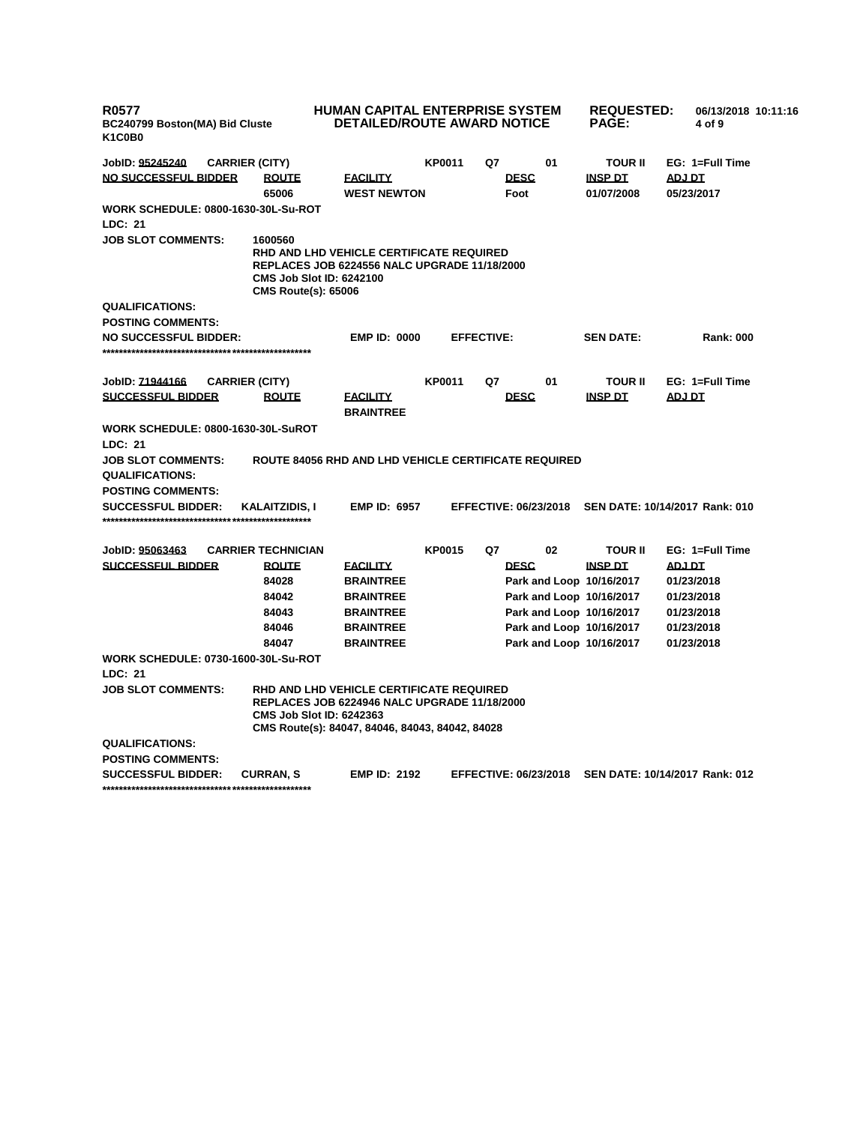| <b>R0577</b><br>BC240799 Boston(MA) Bid Cluste<br>K1C0B0 |                                                | <b>HUMAN CAPITAL ENTERPRISE SYSTEM</b><br><b>DETAILED/ROUTE AWARD NOTICE</b>                                                                                                          |               |                           |                              | <b>REQUESTED:</b><br><b>PAGE:</b>              | 06/13/2018 10:11:16<br>4 of 9           |  |
|----------------------------------------------------------|------------------------------------------------|---------------------------------------------------------------------------------------------------------------------------------------------------------------------------------------|---------------|---------------------------|------------------------------|------------------------------------------------|-----------------------------------------|--|
| JobID: 95245240<br>NO SUCCESSFUL BIDDER                  | <b>CARRIER (CITY)</b><br><b>ROUTE</b><br>65006 | <b>FACILITY</b><br><b>WEST NEWTON</b>                                                                                                                                                 | <b>KP0011</b> | Q7<br><b>DESC</b><br>Foot | 01                           | <b>TOUR II</b><br><b>INSP DT</b><br>01/07/2008 | EG: 1=Full Time<br>ADJ DT<br>05/23/2017 |  |
| <b>WORK SCHEDULE: 0800-1630-30L-Su-ROT</b><br>LDC: 21    |                                                |                                                                                                                                                                                       |               |                           |                              |                                                |                                         |  |
| <b>JOB SLOT COMMENTS:</b>                                | 1600560<br><b>CMS Route(s): 65006</b>          | RHD AND LHD VEHICLE CERTIFICATE REQUIRED<br><b>REPLACES JOB 6224556 NALC UPGRADE 11/18/2000</b><br><b>CMS Job Slot ID: 6242100</b>                                                    |               |                           |                              |                                                |                                         |  |
| <b>QUALIFICATIONS:</b>                                   |                                                |                                                                                                                                                                                       |               |                           |                              |                                                |                                         |  |
| <b>POSTING COMMENTS:</b>                                 |                                                |                                                                                                                                                                                       |               |                           |                              |                                                |                                         |  |
| <b>NO SUCCESSFUL BIDDER:</b>                             |                                                | <b>EMP ID: 0000</b>                                                                                                                                                                   |               | <b>EFFECTIVE:</b>         |                              | <b>SEN DATE:</b>                               | <b>Rank: 000</b>                        |  |
|                                                          |                                                |                                                                                                                                                                                       |               |                           |                              |                                                |                                         |  |
| JobID: 71944166                                          | <b>CARRIER (CITY)</b>                          |                                                                                                                                                                                       | <b>KP0011</b> | Q7                        | 01                           | <b>TOUR II</b>                                 | EG: 1=Full Time                         |  |
| <b>SUCCESSFUL BIDDER</b>                                 | <b>ROUTE</b>                                   | <u>FACILITY</u><br><b>BRAINTREE</b>                                                                                                                                                   |               | <b>DESC</b>               |                              | <b>INSP DT</b>                                 | <b>ADJ DT</b>                           |  |
| WORK SCHEDULE: 0800-1630-30L-SuROT<br><b>LDC: 21</b>     |                                                |                                                                                                                                                                                       |               |                           |                              |                                                |                                         |  |
| <b>JOB SLOT COMMENTS:</b><br><b>QUALIFICATIONS:</b>      |                                                | <b>ROUTE 84056 RHD AND LHD VEHICLE CERTIFICATE REQUIRED</b>                                                                                                                           |               |                           |                              |                                                |                                         |  |
| <b>POSTING COMMENTS:</b><br><b>SUCCESSFUL BIDDER:</b>    | KALAITZIDIS, I                                 | <b>EMP ID: 6957</b>                                                                                                                                                                   |               |                           | <b>EFFECTIVE: 06/23/2018</b> |                                                | SEN DATE: 10/14/2017 Rank: 010          |  |
|                                                          |                                                |                                                                                                                                                                                       |               |                           |                              |                                                |                                         |  |
| JobID: 95063463                                          | <b>CARRIER TECHNICIAN</b>                      |                                                                                                                                                                                       | <b>KP0015</b> | Q7                        | 02                           | <b>TOUR II</b>                                 | EG: 1=Full Time                         |  |
| <b>SUCCESSFUL BIDDER</b>                                 | <b>ROUTE</b>                                   | <u>FACILITY</u>                                                                                                                                                                       |               |                           | <b>DESC</b>                  | <b>INSP DT</b>                                 | <b>ADJ DT</b>                           |  |
|                                                          | 84028                                          | <b>BRAINTREE</b>                                                                                                                                                                      |               |                           | Park and Loop 10/16/2017     |                                                | 01/23/2018                              |  |
|                                                          | 84042                                          | <b>BRAINTREE</b>                                                                                                                                                                      |               |                           | Park and Loop 10/16/2017     |                                                | 01/23/2018                              |  |
|                                                          | 84043                                          | <b>BRAINTREE</b>                                                                                                                                                                      |               |                           | Park and Loop 10/16/2017     |                                                | 01/23/2018                              |  |
|                                                          | 84046                                          | <b>BRAINTREE</b>                                                                                                                                                                      |               |                           | Park and Loop 10/16/2017     |                                                | 01/23/2018                              |  |
|                                                          | 84047                                          | <b>BRAINTREE</b>                                                                                                                                                                      |               |                           |                              | Park and Loop 10/16/2017                       | 01/23/2018                              |  |
| <b>WORK SCHEDULE: 0730-1600-30L-Su-ROT</b>               |                                                |                                                                                                                                                                                       |               |                           |                              |                                                |                                         |  |
| LDC: 21                                                  |                                                |                                                                                                                                                                                       |               |                           |                              |                                                |                                         |  |
| <b>JOB SLOT COMMENTS:</b>                                |                                                | RHD AND LHD VEHICLE CERTIFICATE REQUIRED<br><b>REPLACES JOB 6224946 NALC UPGRADE 11/18/2000</b><br><b>CMS Job Slot ID: 6242363</b><br>CMS Route(s): 84047, 84046, 84043, 84042, 84028 |               |                           |                              |                                                |                                         |  |
| <b>QUALIFICATIONS:</b>                                   |                                                |                                                                                                                                                                                       |               |                           |                              |                                                |                                         |  |
| <b>POSTING COMMENTS:</b>                                 |                                                |                                                                                                                                                                                       |               |                           |                              |                                                |                                         |  |
| <b>SUCCESSFUL BIDDER:</b>                                | <b>CURRAN S</b>                                | <b>EMP ID: 2192</b>                                                                                                                                                                   |               |                           | <b>EFFECTIVE: 06/23/2018</b> |                                                | SEN DATE: 10/14/2017 Rank: 012          |  |
|                                                          |                                                |                                                                                                                                                                                       |               |                           |                              |                                                |                                         |  |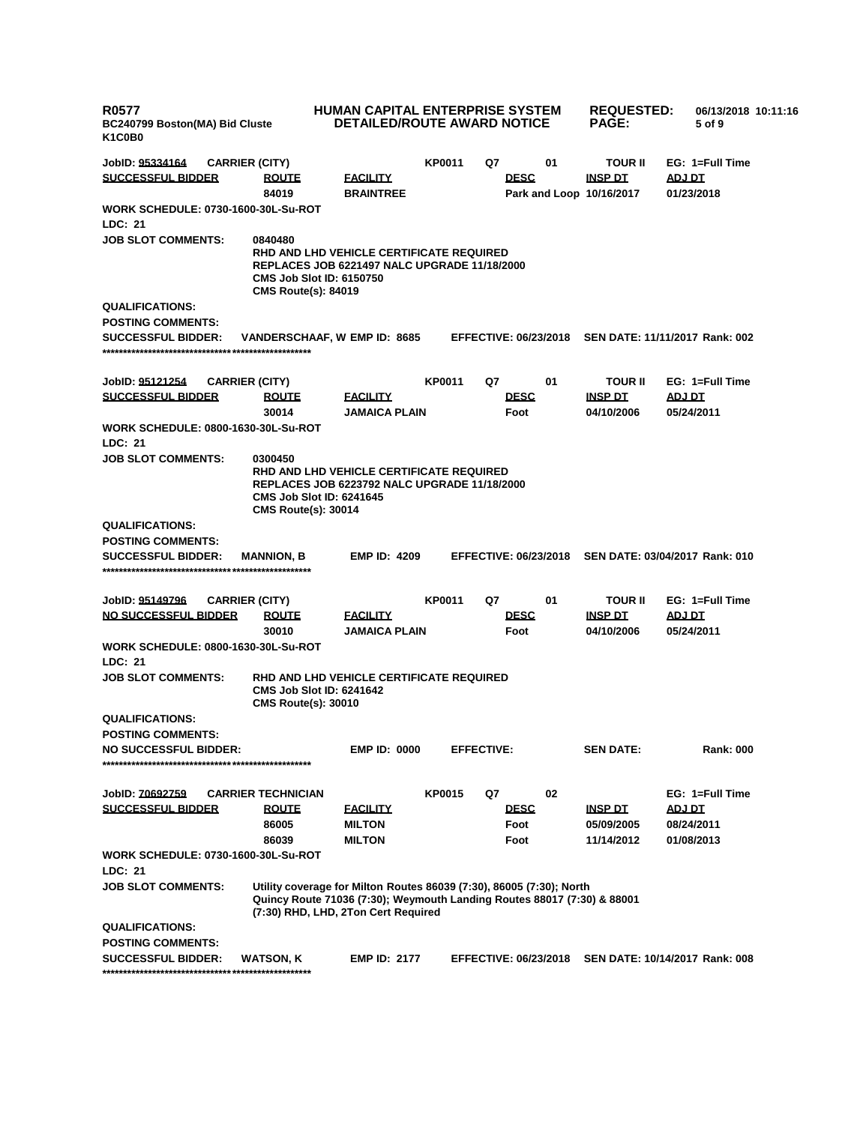| <b>R0577</b><br>BC240799 Boston(MA) Bid Cluste<br>K1C0B0 |                                                                                                                                                                                        | HUMAN CAPITAL ENTERPRISE SYSTEM<br><b>DETAILED/ROUTE AWARD NOTICE</b> |               |                   |                                         | <b>REQUESTED:</b><br><b>PAGE:</b> | 06/13/2018 10:11:16<br>5 of 9  |
|----------------------------------------------------------|----------------------------------------------------------------------------------------------------------------------------------------------------------------------------------------|-----------------------------------------------------------------------|---------------|-------------------|-----------------------------------------|-----------------------------------|--------------------------------|
| JobID: <u>95334164</u>                                   | <b>CARRIER (CITY)</b>                                                                                                                                                                  |                                                                       | <b>KP0011</b> | Q7                | 01                                      | <b>TOUR II</b>                    | EG: 1=Full Time                |
| <b>SUCCESSFUL BIDDER</b>                                 | <b>ROUTE</b><br>84019                                                                                                                                                                  | <b>FACILITY</b><br><b>BRAINTREE</b>                                   |               |                   | <b>DESC</b><br>Park and Loop 10/16/2017 | <b>INSP DT</b>                    | ADJ DT<br>01/23/2018           |
| WORK SCHEDULE: 0730-1600-30L-Su-ROT                      |                                                                                                                                                                                        |                                                                       |               |                   |                                         |                                   |                                |
| <b>LDC: 21</b>                                           |                                                                                                                                                                                        |                                                                       |               |                   |                                         |                                   |                                |
| <b>JOB SLOT COMMENTS:</b>                                | 0840480<br>RHD AND LHD VEHICLE CERTIFICATE REQUIRED<br><b>REPLACES JOB 6221497 NALC UPGRADE 11/18/2000</b><br><b>CMS Job Slot ID: 6150750</b><br><b>CMS Route(s): 84019</b>            |                                                                       |               |                   |                                         |                                   |                                |
| <b>QUALIFICATIONS:</b>                                   |                                                                                                                                                                                        |                                                                       |               |                   |                                         |                                   |                                |
| <b>POSTING COMMENTS:</b>                                 |                                                                                                                                                                                        |                                                                       |               |                   |                                         |                                   |                                |
| <b>SUCCESSFUL BIDDER:</b>                                | VANDERSCHAAF, W EMP ID: 8685                                                                                                                                                           |                                                                       |               |                   | <b>EFFECTIVE: 06/23/2018</b>            |                                   | SEN DATE: 11/11/2017 Rank: 002 |
| JobID: 95121254                                          | <b>CARRIER (CITY)</b>                                                                                                                                                                  |                                                                       | <b>KP0011</b> | Q7                | 01                                      | <b>TOUR II</b>                    | EG: 1=Full Time                |
| <b>SUCCESSFUL BIDDER</b>                                 | <b>ROUTE</b>                                                                                                                                                                           | <b>FACILITY</b><br><b>JAMAICA PLAIN</b>                               |               |                   | <b>DESC</b>                             | <b>INSP DT</b><br>04/10/2006      | <b>ADJ DT</b>                  |
| WORK SCHEDULE: 0800-1630-30L-Su-ROT<br>LDC: 21           | 30014                                                                                                                                                                                  |                                                                       |               |                   | Foot                                    |                                   | 05/24/2011                     |
| <b>JOB SLOT COMMENTS:</b>                                | 0300450<br>RHD AND LHD VEHICLE CERTIFICATE REQUIRED<br><b>REPLACES JOB 6223792 NALC UPGRADE 11/18/2000</b><br><b>CMS Job Slot ID: 6241645</b><br><b>CMS Route(s): 30014</b>            |                                                                       |               |                   |                                         |                                   |                                |
| <b>QUALIFICATIONS:</b>                                   |                                                                                                                                                                                        |                                                                       |               |                   |                                         |                                   |                                |
| <b>POSTING COMMENTS:</b>                                 |                                                                                                                                                                                        |                                                                       |               |                   |                                         |                                   |                                |
| <b>SUCCESSFUL BIDDER:</b>                                | <b>MANNION, B</b>                                                                                                                                                                      | <b>EMP ID: 4209</b>                                                   |               |                   | <b>EFFECTIVE: 06/23/2018</b>            |                                   | SEN DATE: 03/04/2017 Rank: 010 |
| JobID: <u>95149796</u>                                   | <b>CARRIER (CITY)</b>                                                                                                                                                                  |                                                                       | <b>KP0011</b> | Q7                | 01                                      | <b>TOUR II</b>                    | EG: 1=Full Time                |
| <u>NO SUCCESSFUL BIDDER</u>                              | <b>ROUTE</b><br>30010                                                                                                                                                                  | <b>FACILITY</b><br><b>JAMAICA PLAIN</b>                               |               |                   | <b>DESC</b><br>Foot                     | <b>INSP DT</b><br>04/10/2006      | <b>ADJ DT</b><br>05/24/2011    |
| WORK SCHEDULE: 0800-1630-30L-Su-ROT<br>LDC: 21           |                                                                                                                                                                                        |                                                                       |               |                   |                                         |                                   |                                |
| <b>JOB SLOT COMMENTS:</b>                                | RHD AND LHD VEHICLE CERTIFICATE REQUIRED<br><b>CMS Job Slot ID: 6241642</b><br><b>CMS Route(s): 30010</b>                                                                              |                                                                       |               |                   |                                         |                                   |                                |
| <b>QUALIFICATIONS:</b><br><b>POSTING COMMENTS:</b>       |                                                                                                                                                                                        |                                                                       |               |                   |                                         |                                   |                                |
| <b>NO SUCCESSFUL BIDDER:</b>                             |                                                                                                                                                                                        | <b>EMP ID: 0000</b>                                                   |               | <b>EFFECTIVE:</b> |                                         | <b>SEN DATE:</b>                  | <b>Rank: 000</b>               |
| JobID: 70692759                                          | <b>CARRIER TECHNICIAN</b>                                                                                                                                                              |                                                                       | <b>KP0015</b> | Q7                | 02                                      |                                   | EG: 1=Full Time                |
| <b>SUCCESSFUL BIDDER</b>                                 | <b>ROUTE</b>                                                                                                                                                                           | <b>FACILITY</b>                                                       |               |                   | <b>DESC</b>                             | <b>INSP DT</b>                    | ADJ DT                         |
|                                                          | 86005                                                                                                                                                                                  | <b>MILTON</b>                                                         |               |                   | Foot                                    | 05/09/2005                        | 08/24/2011                     |
|                                                          | 86039                                                                                                                                                                                  | <b>MILTON</b>                                                         |               |                   | Foot                                    | 11/14/2012                        | 01/08/2013                     |
| WORK SCHEDULE: 0730-1600-30L-Su-ROT<br>LDC: 21           |                                                                                                                                                                                        |                                                                       |               |                   |                                         |                                   |                                |
| <b>JOB SLOT COMMENTS:</b>                                | Utility coverage for Milton Routes 86039 (7:30), 86005 (7:30); North<br>Quincy Route 71036 (7:30); Weymouth Landing Routes 88017 (7:30) & 88001<br>(7:30) RHD, LHD, 2Ton Cert Required |                                                                       |               |                   |                                         |                                   |                                |
| <b>QUALIFICATIONS:</b>                                   |                                                                                                                                                                                        |                                                                       |               |                   |                                         |                                   |                                |
| <b>POSTING COMMENTS:</b>                                 |                                                                                                                                                                                        |                                                                       |               |                   |                                         |                                   |                                |
| <b>SUCCESSFUL BIDDER:</b>                                | WATSON, K                                                                                                                                                                              | <b>EMP ID: 2177</b>                                                   |               |                   | <b>EFFECTIVE: 06/23/2018</b>            |                                   | SEN DATE: 10/14/2017 Rank: 008 |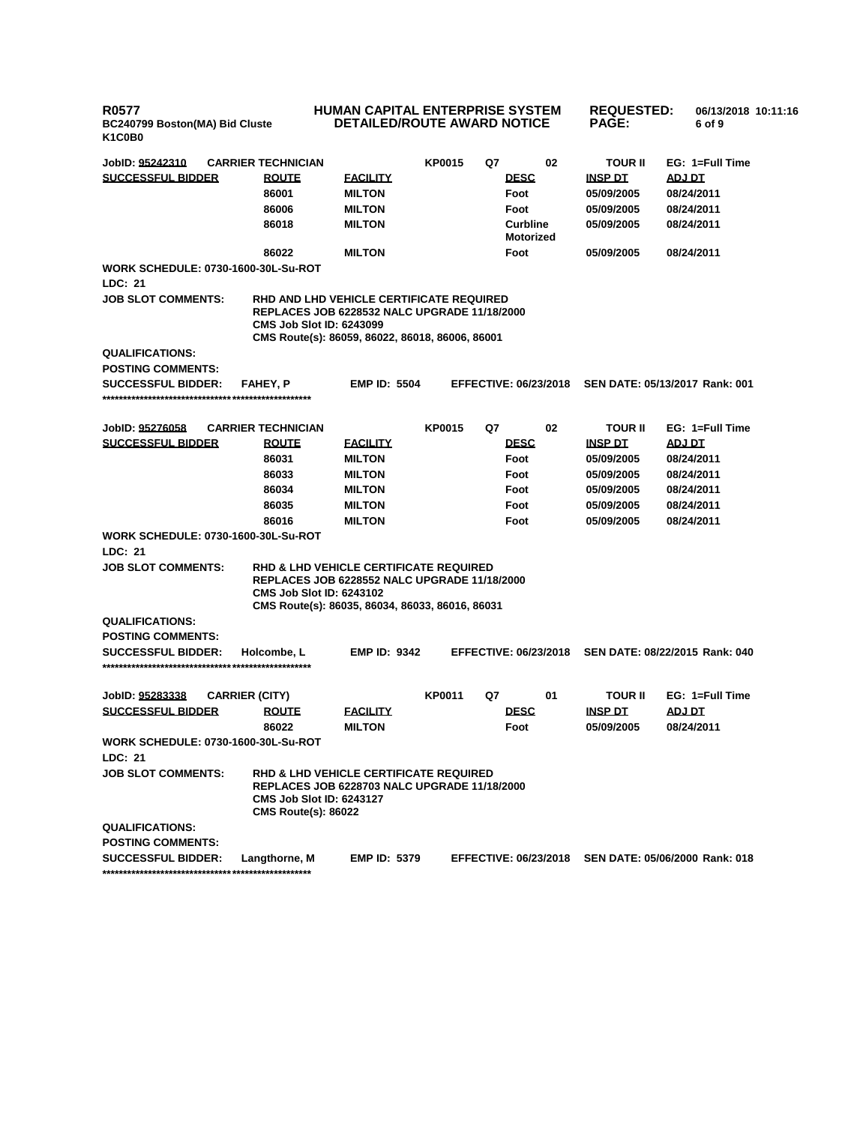## **HUMAN CAPITAL ENTERPRISE SYSTEM DETAILED/ROUTE AWARD NOTICE**

**REQUESTED: 06/13/2018 10:11:16 PAGE: 6 of 9** 

| JobID: 95242310                                       | <b>CARRIER TECHNICIAN</b>                                                                                                                                                               |                                  | <b>KP0015</b> | Q7 | 02                                  | <b>TOUR II</b>               | EG: 1=Full Time                |
|-------------------------------------------------------|-----------------------------------------------------------------------------------------------------------------------------------------------------------------------------------------|----------------------------------|---------------|----|-------------------------------------|------------------------------|--------------------------------|
| <b>SUCCESSFUL BIDDER</b>                              | <b>ROUTE</b>                                                                                                                                                                            | <b>FACILITY</b>                  |               |    | <b>DESC</b>                         | <b>INSP DT</b>               | <b>ADJ DT</b>                  |
|                                                       | 86001                                                                                                                                                                                   | <b>MILTON</b>                    |               |    | Foot                                | 05/09/2005                   | 08/24/2011                     |
|                                                       | 86006                                                                                                                                                                                   | <b>MILTON</b>                    |               |    | Foot                                | 05/09/2005                   | 08/24/2011                     |
|                                                       | 86018                                                                                                                                                                                   | <b>MILTON</b>                    |               |    | <b>Curbline</b><br><b>Motorized</b> | 05/09/2005                   | 08/24/2011                     |
|                                                       | 86022                                                                                                                                                                                   | <b>MILTON</b>                    |               |    | Foot                                | 05/09/2005                   | 08/24/2011                     |
| <b>WORK SCHEDULE: 0730-1600-30L-Su-ROT</b><br>LDC: 21 |                                                                                                                                                                                         |                                  |               |    |                                     |                              |                                |
| <b>JOB SLOT COMMENTS:</b>                             | RHD AND LHD VEHICLE CERTIFICATE REQUIRED<br><b>REPLACES JOB 6228532 NALC UPGRADE 11/18/2000</b><br><b>CMS Job Slot ID: 6243099</b><br>CMS Route(s): 86059, 86022, 86018, 86006, 86001   |                                  |               |    |                                     |                              |                                |
| <b>QUALIFICATIONS:</b>                                |                                                                                                                                                                                         |                                  |               |    |                                     |                              |                                |
| <b>POSTING COMMENTS:</b>                              |                                                                                                                                                                                         |                                  |               |    |                                     |                              |                                |
| <b>SUCCESSFUL BIDDER:</b>                             | <b>FAHEY, P</b>                                                                                                                                                                         | <b>EMP ID: 5504</b>              |               |    | <b>EFFECTIVE: 06/23/2018</b>        |                              | SEN DATE: 05/13/2017 Rank: 001 |
| JobID: 95276058                                       | <b>CARRIER TECHNICIAN</b>                                                                                                                                                               |                                  | <b>KP0015</b> | Q7 | 02                                  | <b>TOUR II</b>               | EG: 1=Full Time                |
| <b>SUCCESSFUL BIDDER</b>                              | <b>ROUTE</b>                                                                                                                                                                            | <b>FACILITY</b>                  |               |    | <b>DESC</b>                         | <b>INSP DT</b>               | ADJ DT                         |
|                                                       | 86031                                                                                                                                                                                   | <b>MILTON</b>                    |               |    | Foot                                | 05/09/2005                   | 08/24/2011                     |
|                                                       | 86033                                                                                                                                                                                   | <b>MILTON</b>                    |               |    | Foot                                | 05/09/2005                   | 08/24/2011                     |
|                                                       | 86034                                                                                                                                                                                   | <b>MILTON</b>                    |               |    | Foot                                | 05/09/2005                   | 08/24/2011                     |
|                                                       | 86035                                                                                                                                                                                   | <b>MILTON</b>                    |               |    | Foot                                | 05/09/2005                   | 08/24/2011                     |
|                                                       | 86016                                                                                                                                                                                   | <b>MILTON</b>                    |               |    | Foot                                | 05/09/2005                   | 08/24/2011                     |
| <b>WORK SCHEDULE: 0730-1600-30L-Su-ROT</b>            |                                                                                                                                                                                         |                                  |               |    |                                     |                              |                                |
| LDC: 21                                               |                                                                                                                                                                                         |                                  |               |    |                                     |                              |                                |
| <b>JOB SLOT COMMENTS:</b>                             | <b>RHD &amp; LHD VEHICLE CERTIFICATE REQUIRED</b><br>REPLACES JOB 6228552 NALC UPGRADE 11/18/2000<br><b>CMS Job Slot ID: 6243102</b><br>CMS Route(s): 86035, 86034, 86033, 86016, 86031 |                                  |               |    |                                     |                              |                                |
| <b>QUALIFICATIONS:</b>                                |                                                                                                                                                                                         |                                  |               |    |                                     |                              |                                |
| <b>POSTING COMMENTS:</b>                              |                                                                                                                                                                                         |                                  |               |    |                                     |                              |                                |
| <b>SUCCESSFUL BIDDER:</b>                             | Holcombe, L                                                                                                                                                                             | <b>EMP ID: 9342</b>              |               |    | <b>EFFECTIVE: 06/23/2018</b>        |                              | SEN DATE: 08/22/2015 Rank: 040 |
|                                                       |                                                                                                                                                                                         |                                  |               |    |                                     |                              |                                |
| JobID: 95283338                                       | <b>CARRIER (CITY)</b>                                                                                                                                                                   |                                  | <b>KP0011</b> | Q7 | 01                                  | <b>TOUR II</b>               | EG: 1=Full Time                |
| <b>SUCCESSFUL BIDDER</b>                              | <b>ROUTE</b><br>86022                                                                                                                                                                   | <b>FACILITY</b><br><b>MILTON</b> |               |    | <b>DESC</b><br>Foot                 | <b>INSP DT</b><br>05/09/2005 | ADJ DT<br>08/24/2011           |
| <b>WORK SCHEDULE: 0730-1600-30L-Su-ROT</b>            |                                                                                                                                                                                         |                                  |               |    |                                     |                              |                                |
| <b>LDC: 21</b>                                        |                                                                                                                                                                                         |                                  |               |    |                                     |                              |                                |
| <b>JOB SLOT COMMENTS:</b>                             | <b>RHD &amp; LHD VEHICLE CERTIFICATE REQUIRED</b><br><b>REPLACES JOB 6228703 NALC UPGRADE 11/18/2000</b><br><b>CMS Job Slot ID: 6243127</b><br><b>CMS Route(s): 86022</b>               |                                  |               |    |                                     |                              |                                |
| <b>QUALIFICATIONS:</b>                                |                                                                                                                                                                                         |                                  |               |    |                                     |                              |                                |
| <b>POSTING COMMENTS:</b>                              |                                                                                                                                                                                         |                                  |               |    |                                     |                              |                                |
| <b>SUCCESSFUL BIDDER:</b>                             | Langthorne, M                                                                                                                                                                           | <b>EMP ID: 5379</b>              |               |    | <b>EFFECTIVE: 06/23/2018</b>        |                              | SEN DATE: 05/06/2000 Rank: 018 |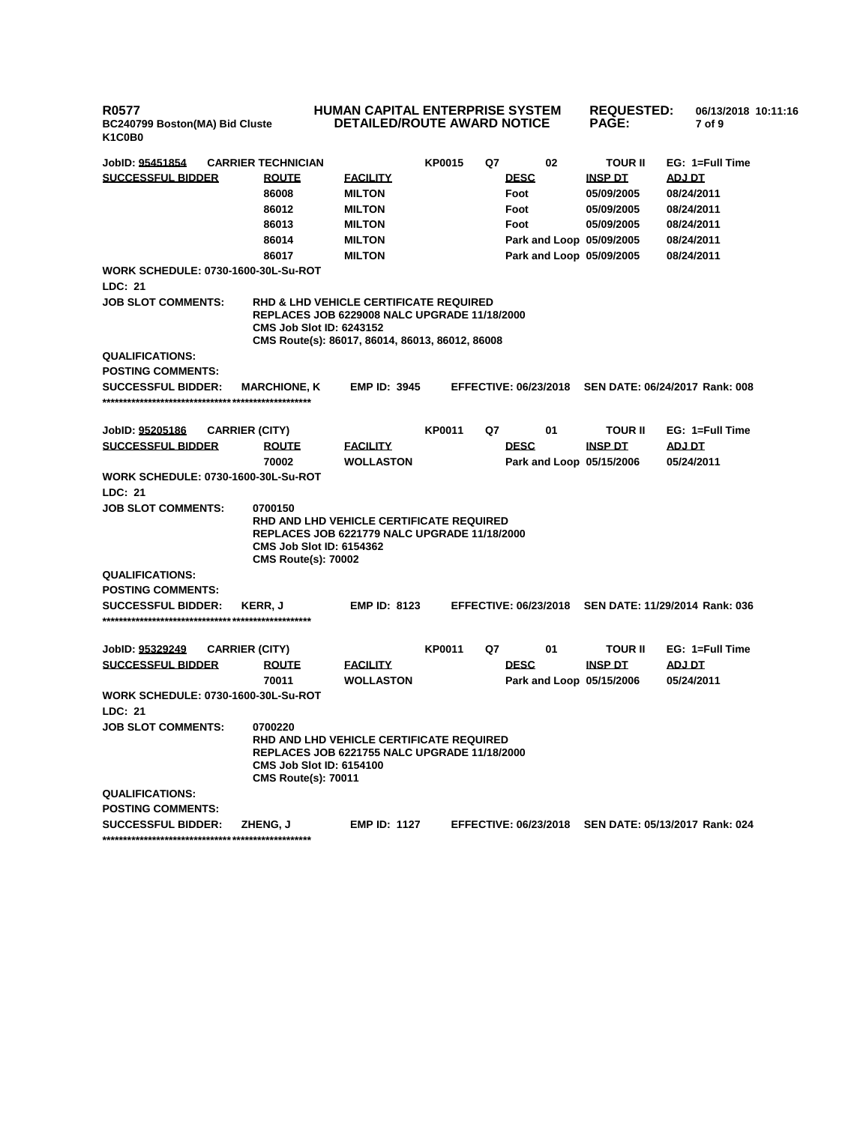## **HUMAN CAPITAL ENTERPRISE SYSTEM DETAILED/ROUTE AWARD NOTICE**

| 'AL ENTERPRISE SYSTEM<br><b>ROUTE AWARD NOTICE</b> |                   |    | <b>REQUESTED:</b><br><b>PAGE:</b> | 06/13/2018 10:11:16<br>7 of 9 |  |
|----------------------------------------------------|-------------------|----|-----------------------------------|-------------------------------|--|
| <b>KP0015</b>                                      | Ω7<br><b>DESC</b> | 02 | <b>TOUR II</b><br><b>INSP DT</b>  | $EG: 1 = Full Time$<br>ADJ DT |  |

| JobID: 95451854                            | <b>CARRIER TECHNICIAN</b>                                                                                                                                                                      |                     | <b>KP0015</b> | Q7 | 02                           | <b>TOUR II</b> | EG: 1=Full Time                |  |  |
|--------------------------------------------|------------------------------------------------------------------------------------------------------------------------------------------------------------------------------------------------|---------------------|---------------|----|------------------------------|----------------|--------------------------------|--|--|
| <b>SUCCESSFUL BIDDER</b>                   | <b>ROUTE</b>                                                                                                                                                                                   | <b>FACILITY</b>     |               |    | <b>DESC</b>                  | <b>INSP DT</b> | <b>ADJ DT</b>                  |  |  |
|                                            | 86008                                                                                                                                                                                          | <b>MILTON</b>       |               |    | Foot                         | 05/09/2005     | 08/24/2011                     |  |  |
|                                            | 86012                                                                                                                                                                                          | <b>MILTON</b>       |               |    | Foot                         | 05/09/2005     | 08/24/2011                     |  |  |
|                                            | 86013                                                                                                                                                                                          | <b>MILTON</b>       |               |    | Foot                         | 05/09/2005     | 08/24/2011                     |  |  |
|                                            | 86014                                                                                                                                                                                          | <b>MILTON</b>       |               |    | Park and Loop 05/09/2005     |                | 08/24/2011                     |  |  |
|                                            | 86017                                                                                                                                                                                          | <b>MILTON</b>       |               |    | Park and Loop 05/09/2005     |                | 08/24/2011                     |  |  |
| <b>WORK SCHEDULE: 0730-1600-30L-Su-ROT</b> |                                                                                                                                                                                                |                     |               |    |                              |                |                                |  |  |
| LDC: 21                                    |                                                                                                                                                                                                |                     |               |    |                              |                |                                |  |  |
| <b>JOB SLOT COMMENTS:</b>                  | <b>RHD &amp; LHD VEHICLE CERTIFICATE REQUIRED</b><br><b>REPLACES JOB 6229008 NALC UPGRADE 11/18/2000</b><br><b>CMS Job Slot ID: 6243152</b><br>CMS Route(s): 86017, 86014, 86013, 86012, 86008 |                     |               |    |                              |                |                                |  |  |
| <b>QUALIFICATIONS:</b>                     |                                                                                                                                                                                                |                     |               |    |                              |                |                                |  |  |
| <b>POSTING COMMENTS:</b>                   |                                                                                                                                                                                                |                     |               |    |                              |                |                                |  |  |
| <b>SUCCESSFUL BIDDER:</b>                  | <b>MARCHIONE, K</b>                                                                                                                                                                            | <b>EMP ID: 3945</b> |               |    | <b>EFFECTIVE: 06/23/2018</b> |                | SEN DATE: 06/24/2017 Rank: 008 |  |  |
|                                            |                                                                                                                                                                                                |                     |               |    |                              |                |                                |  |  |
| JobID: 95205186                            | <b>CARRIER (CITY)</b>                                                                                                                                                                          |                     | KP0011        | Q7 | 01                           | TOUR II        | EG: 1=Full Time                |  |  |
| <b>SUCCESSFUL BIDDER</b>                   | <b>ROUTE</b>                                                                                                                                                                                   | <b>FACILITY</b>     |               |    | <b>DESC</b>                  | <b>INSP DT</b> | ADJ DT                         |  |  |
|                                            | 70002                                                                                                                                                                                          | <b>WOLLASTON</b>    |               |    | Park and Loop 05/15/2006     |                | 05/24/2011                     |  |  |
| <b>WORK SCHEDULE: 0730-1600-30L-Su-ROT</b> |                                                                                                                                                                                                |                     |               |    |                              |                |                                |  |  |
| LDC: 21                                    |                                                                                                                                                                                                |                     |               |    |                              |                |                                |  |  |
| <b>JOB SLOT COMMENTS:</b>                  | 0700150<br>RHD AND LHD VEHICLE CERTIFICATE REQUIRED<br>REPLACES JOB 6221779 NALC UPGRADE 11/18/2000<br><b>CMS Job Slot ID: 6154362</b><br><b>CMS Route(s): 70002</b>                           |                     |               |    |                              |                |                                |  |  |
| <b>QUALIFICATIONS:</b>                     |                                                                                                                                                                                                |                     |               |    |                              |                |                                |  |  |
| <b>POSTING COMMENTS:</b>                   |                                                                                                                                                                                                |                     |               |    |                              |                |                                |  |  |
| <b>SUCCESSFUL BIDDER:</b>                  | <b>KERR, J</b>                                                                                                                                                                                 | <b>EMP ID: 8123</b> |               |    | <b>EFFECTIVE: 06/23/2018</b> |                | SEN DATE: 11/29/2014 Rank: 036 |  |  |
| JobID: 95329249                            | <b>CARRIER (CITY)</b>                                                                                                                                                                          |                     | <b>KP0011</b> | Q7 | 01                           | <b>TOUR II</b> | EG: 1=Full Time                |  |  |
| <b>SUCCESSFUL BIDDER</b>                   | <b>ROUTE</b>                                                                                                                                                                                   | <u>FACILITY</u>     |               |    | <b>DESC</b>                  | <b>INSP DT</b> | <b>ADJ DT</b>                  |  |  |
|                                            | 70011                                                                                                                                                                                          | <b>WOLLASTON</b>    |               |    | Park and Loop 05/15/2006     |                | 05/24/2011                     |  |  |
| WORK SCHEDULE: 0730-1600-30L-Su-ROT        |                                                                                                                                                                                                |                     |               |    |                              |                |                                |  |  |
| LDC: 21                                    |                                                                                                                                                                                                |                     |               |    |                              |                |                                |  |  |
| JOB SLOT COMMENTS:                         | 0700220                                                                                                                                                                                        |                     |               |    |                              |                |                                |  |  |
|                                            | RHD AND LHD VEHICLE CERTIFICATE REQUIRED<br><b>REPLACES JOB 6221755 NALC UPGRADE 11/18/2000</b><br><b>CMS Job Slot ID: 6154100</b><br><b>CMS Route(s): 70011</b>                               |                     |               |    |                              |                |                                |  |  |
| <b>QUALIFICATIONS:</b>                     |                                                                                                                                                                                                |                     |               |    |                              |                |                                |  |  |
| <b>POSTING COMMENTS:</b>                   |                                                                                                                                                                                                |                     |               |    |                              |                |                                |  |  |
| <b>SUCCESSFUL BIDDER:</b>                  | <b>ZHENG, J</b>                                                                                                                                                                                | <b>EMP ID: 1127</b> |               |    | <b>EFFECTIVE: 06/23/2018</b> |                | SEN DATE: 05/13/2017 Rank: 024 |  |  |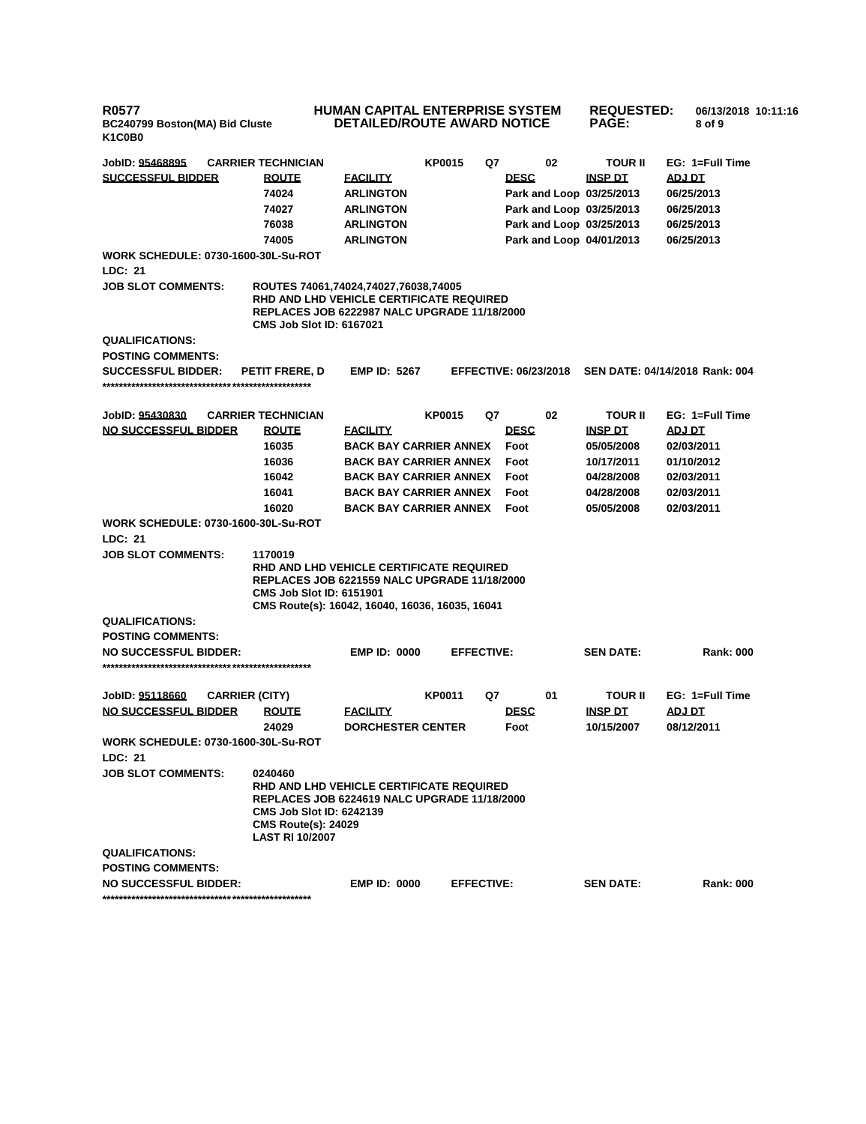## **HUMAN CAPITAL ENTERPRISE SYSTEM DETAILED/ROUTE AWARD NOTICE**

**REQUESTED: 06/13/2018 10:11:16 PAGE: 8 of 9** 

| JobID: 95468895                                       | <b>CARRIER TECHNICIAN</b>                                                                                                                                                  |                               | <b>KP0015</b> |                   | Q7 |                              | 02 | <b>TOUR II</b>           | EG: 1=Full Time                |
|-------------------------------------------------------|----------------------------------------------------------------------------------------------------------------------------------------------------------------------------|-------------------------------|---------------|-------------------|----|------------------------------|----|--------------------------|--------------------------------|
| <b>SUCCESSFUL BIDDER</b>                              | <b>ROUTE</b>                                                                                                                                                               | <b>FACILITY</b>               |               |                   |    | <b>DESC</b>                  |    | <b>INSP DT</b>           | ADJ DT                         |
|                                                       | 74024                                                                                                                                                                      | <b>ARLINGTON</b>              |               |                   |    |                              |    | Park and Loop 03/25/2013 | 06/25/2013                     |
|                                                       | 74027                                                                                                                                                                      | <b>ARLINGTON</b>              |               |                   |    |                              |    | Park and Loop 03/25/2013 | 06/25/2013                     |
|                                                       | 76038                                                                                                                                                                      | <b>ARLINGTON</b>              |               |                   |    |                              |    | Park and Loop 03/25/2013 | 06/25/2013                     |
|                                                       | 74005                                                                                                                                                                      | <b>ARLINGTON</b>              |               |                   |    |                              |    | Park and Loop 04/01/2013 | 06/25/2013                     |
| <b>WORK SCHEDULE: 0730-1600-30L-Su-ROT</b><br>LDC: 21 |                                                                                                                                                                            |                               |               |                   |    |                              |    |                          |                                |
| <b>JOB SLOT COMMENTS:</b>                             |                                                                                                                                                                            |                               |               |                   |    |                              |    |                          |                                |
|                                                       | ROUTES 74061,74024,74027,76038,74005<br>RHD AND LHD VEHICLE CERTIFICATE REQUIRED<br><b>REPLACES JOB 6222987 NALC UPGRADE 11/18/2000</b><br><b>CMS Job Slot ID: 6167021</b> |                               |               |                   |    |                              |    |                          |                                |
| <b>QUALIFICATIONS:</b>                                |                                                                                                                                                                            |                               |               |                   |    |                              |    |                          |                                |
| <b>POSTING COMMENTS:</b>                              |                                                                                                                                                                            |                               |               |                   |    |                              |    |                          |                                |
| <b>SUCCESSFUL BIDDER:</b>                             | <b>PETIT FRERE, D</b>                                                                                                                                                      | <b>EMP ID: 5267</b>           |               |                   |    | <b>EFFECTIVE: 06/23/2018</b> |    |                          | SEN DATE: 04/14/2018 Rank: 004 |
|                                                       |                                                                                                                                                                            |                               |               |                   |    |                              |    |                          |                                |
|                                                       |                                                                                                                                                                            |                               |               |                   |    |                              |    |                          |                                |
| JobID: 95430830                                       | <b>CARRIER TECHNICIAN</b>                                                                                                                                                  |                               | <b>KP0015</b> |                   | Q7 |                              | 02 | <b>TOUR II</b>           | EG: 1=Full Time                |
| <b>NO SUCCESSFUL BIDDER</b>                           | <b>ROUTE</b>                                                                                                                                                               | <b>EACILITY</b>               |               |                   |    | <b>DESC</b>                  |    | <b>INSP DT</b>           | ADJ DT                         |
|                                                       | 16035                                                                                                                                                                      | <b>BACK BAY CARRIER ANNEX</b> |               |                   |    | Foot                         |    | 05/05/2008               | 02/03/2011                     |
|                                                       | 16036                                                                                                                                                                      | <b>BACK BAY CARRIER ANNEX</b> |               |                   |    | Foot                         |    | 10/17/2011               | 01/10/2012                     |
|                                                       | 16042                                                                                                                                                                      | <b>BACK BAY CARRIER ANNEX</b> |               |                   |    | Foot                         |    | 04/28/2008               | 02/03/2011                     |
|                                                       | 16041                                                                                                                                                                      | <b>BACK BAY CARRIER ANNEX</b> |               |                   |    | Foot                         |    | 04/28/2008               | 02/03/2011                     |
|                                                       | 16020                                                                                                                                                                      | <b>BACK BAY CARRIER ANNEX</b> |               |                   |    | Foot                         |    | 05/05/2008               | 02/03/2011                     |
| <b>WORK SCHEDULE: 0730-1600-30L-Su-ROT</b>            |                                                                                                                                                                            |                               |               |                   |    |                              |    |                          |                                |
| LDC: 21                                               |                                                                                                                                                                            |                               |               |                   |    |                              |    |                          |                                |
| <b>JOB SLOT COMMENTS:</b>                             | 1170019                                                                                                                                                                    |                               |               |                   |    |                              |    |                          |                                |
|                                                       | RHD AND LHD VEHICLE CERTIFICATE REQUIRED                                                                                                                                   |                               |               |                   |    |                              |    |                          |                                |
|                                                       | REPLACES JOB 6221559 NALC UPGRADE 11/18/2000<br><b>CMS Job Slot ID: 6151901</b>                                                                                            |                               |               |                   |    |                              |    |                          |                                |
|                                                       | CMS Route(s): 16042, 16040, 16036, 16035, 16041                                                                                                                            |                               |               |                   |    |                              |    |                          |                                |
| <b>QUALIFICATIONS:</b>                                |                                                                                                                                                                            |                               |               |                   |    |                              |    |                          |                                |
| <b>POSTING COMMENTS:</b>                              |                                                                                                                                                                            |                               |               |                   |    |                              |    |                          |                                |
| <b>NO SUCCESSFUL BIDDER:</b>                          |                                                                                                                                                                            | <b>EMP ID: 0000</b>           |               | <b>EFFECTIVE:</b> |    |                              |    | <b>SEN DATE:</b>         | <b>Rank: 000</b>               |
|                                                       |                                                                                                                                                                            |                               |               |                   |    |                              |    |                          |                                |
|                                                       |                                                                                                                                                                            |                               |               |                   |    |                              |    |                          |                                |
| JobID: 95118660<br><b>CARRIER (CITY)</b>              |                                                                                                                                                                            |                               | <b>KP0011</b> |                   | Q7 |                              | 01 | <b>TOUR II</b>           | EG: 1=Full Time                |
| NO SUCCESSFUL BIDDER                                  | <b>ROUTE</b>                                                                                                                                                               | <b>FACILITY</b>               |               |                   |    | <b>DESC</b>                  |    | <b>INSP DT</b>           | ADJ DT                         |
|                                                       | 24029                                                                                                                                                                      | <b>DORCHESTER CENTER</b>      |               |                   |    | Foot                         |    | 10/15/2007               | 08/12/2011                     |
| <b>WORK SCHEDULE: 0730-1600-30L-Su-ROT</b>            |                                                                                                                                                                            |                               |               |                   |    |                              |    |                          |                                |
| LDC: 21                                               |                                                                                                                                                                            |                               |               |                   |    |                              |    |                          |                                |
| <b>JOB SLOT COMMENTS:</b>                             | 0240460                                                                                                                                                                    |                               |               |                   |    |                              |    |                          |                                |
|                                                       | RHD AND LHD VEHICLE CERTIFICATE REQUIRED<br><b>REPLACES JOB 6224619 NALC UPGRADE 11/18/2000</b>                                                                            |                               |               |                   |    |                              |    |                          |                                |
|                                                       | <b>CMS Job Slot ID: 6242139</b>                                                                                                                                            |                               |               |                   |    |                              |    |                          |                                |
|                                                       | <b>CMS Route(s): 24029</b>                                                                                                                                                 |                               |               |                   |    |                              |    |                          |                                |
|                                                       | <b>LAST RI 10/2007</b>                                                                                                                                                     |                               |               |                   |    |                              |    |                          |                                |
| <b>QUALIFICATIONS:</b>                                |                                                                                                                                                                            |                               |               |                   |    |                              |    |                          |                                |
| <b>POSTING COMMENTS:</b>                              |                                                                                                                                                                            |                               |               |                   |    |                              |    |                          |                                |
| <b>NO SUCCESSFUL BIDDER:</b>                          |                                                                                                                                                                            | <b>EMP ID: 0000</b>           |               | <b>EFFECTIVE:</b> |    |                              |    | <b>SEN DATE:</b>         | <b>Rank: 000</b>               |
|                                                       |                                                                                                                                                                            |                               |               |                   |    |                              |    |                          |                                |